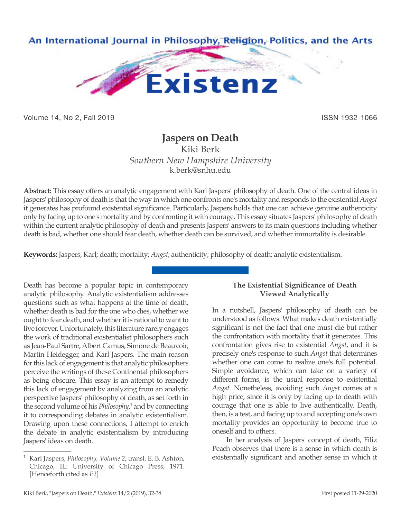

Volume 14, No 2, Fall 2019 ISSN 1932-1066

# **Jaspers on Death**

Kiki Berk *Southern New Hampshire University* k.berk@snhu.edu

**Abstract:** This essay offers an analytic engagement with Karl Jaspers' philosophy of death. One of the central ideas in Jaspers' philosophy of death is that the way in which one confronts one's mortality and responds to the existential *Angst* it generates has profound existential significance. Particularly, Jaspers holds that one can achieve genuine authenticity only by facing up to one's mortality and by confronting it with courage. This essay situates Jaspers' philosophy of death within the current analytic philosophy of death and presents Jaspers' answers to its main questions including whether death is bad, whether one should fear death, whether death can be survived, and whether immortality is desirable.

**Keywords:** Jaspers, Karl; death; mortality; *Angst*; authenticity; philosophy of death; analytic existentialism.

Death has become a popular topic in contemporary analytic philosophy. Analytic existentialism addresses questions such as what happens at the time of death, whether death is bad for the one who dies, whether we ought to fear death, and whether it is rational to want to live forever. Unfortunately, this literature rarely engages the work of traditional existentialist philosophers such as Jean-Paul Sartre, Albert Camus, Simone de Beauvoir, Martin Heidegger, and Karl Jaspers. The main reason for this lack of engagement is that analytic philosophers perceive the writings of these Continental philosophers as being obscure. This essay is an attempt to remedy this lack of engagement by analyzing from an analytic perspective Jaspers' philosophy of death, as set forth in the second volume of his *Philosophy*, 1 and by connecting it to corresponding debates in analytic existentialism. Drawing upon these connections, I attempt to enrich the debate in analytic existentialism by introducing Jaspers' ideas on death.

## **The Existential Significance of Death Viewed Analytically**

In a nutshell, Jaspers' philosophy of death can be understood as follows: What makes death existentially significant is not the fact that one must die but rather the confrontation with mortality that it generates. This confrontation gives rise to existential *Angst*, and it is precisely one's response to such *Angst* that determines whether one can come to realize one's full potential. Simple avoidance, which can take on a variety of different forms, is the usual response to existential *Angst*. Nonetheless, avoiding such *Angst* comes at a high price, since it is only by facing up to death with courage that one is able to live authentically. Death, then, is a test, and facing up to and accepting one's own mortality provides an opportunity to become true to oneself and to others.

In her analysis of Jaspers' concept of death, Filiz Peach observes that there is a sense in which death is existentially significant and another sense in which it

<sup>1</sup> Karl Jaspers, *Philosophy, Volume 2*, transl. E. B. Ashton, Chicago, IL: University of Chicago Press, 1971. [Henceforth cited as *P2*]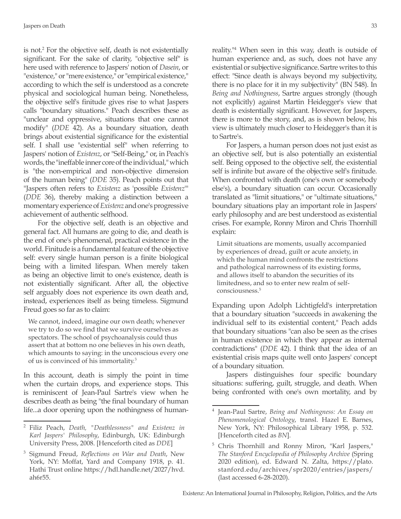is not.2 For the objective self, death is not existentially significant. For the sake of clarity, "objective self" is here used with reference to Jaspers' notion of *Dasein*, or "existence," or "mere existence," or "empirical existence," according to which the self is understood as a concrete physical and sociological human being. Nonetheless, the objective self's finitude gives rise to what Jaspers calls "boundary situations." Peach describes these as "unclear and oppressive, situations that one cannot modify" (*DDE* 42). As a boundary situation, death brings about existential significance for the existential self. I shall use "existential self" when referring to Jaspers' notion of *Existenz*, or "Self-Being," or, in Peach's words, the "ineffable inner core of the individual," which is "the non-empirical and non-objective dimension of the human being" (*DDE* 35). Peach points out that "Jaspers often refers to *Existenz* as 'possible *Existenz*'" (*DDE* 36), thereby making a distinction between a momentary experience of *Existenz* and one's progressive achievement of authentic selfhood.

For the objective self, death is an objective and general fact. All humans are going to die, and death is the end of one's phenomenal, practical existence in the world. Finitude is a fundamental feature of the objective self: every single human person is a finite biological being with a limited lifespan. When merely taken as being an objective limit to one's existence, death is not existentially significant. After all, the objective self arguably does not experience its own death and, instead, experiences itself as being timeless. Sigmund Freud goes so far as to claim:

We cannot, indeed, imagine our own death; whenever we try to do so we find that we survive ourselves as spectators. The school of psychoanalysis could thus assert that at bottom no one believes in his own death, which amounts to saying: in the unconscious every one of us is convinced of his immortality.3

In this account, death is simply the point in time when the curtain drops, and experience stops. This is reminiscent of Jean-Paul Sartre's view when he describes death as being "the final boundary of human life...a door opening upon the nothingness of humanreality."4 When seen in this way, death is outside of human experience and, as such, does not have any existential or subjective significance. Sartre writes to this effect: "Since death is always beyond my subjectivity, there is no place for it in my subjectivity" (BN 548). In *Being and Nothingness*, Sartre argues strongly (though not explicitly) against Martin Heidegger's view that death is existentially significant. However, for Jaspers, there is more to the story, and, as is shown below, his view is ultimately much closer to Heidegger's than it is to Sartre's.

For Jaspers, a human person does not just exist as an objective self, but is also potentially an existential self. Being opposed to the objective self, the existential self is infinite but aware of the objective self's finitude. When confronted with death (one's own or somebody else's), a boundary situation can occur. Occasionally translated as "limit situations," or "ultimate situations," boundary situations play an important role in Jaspers' early philosophy and are best understood as existential crises. For example, Ronny Miron and Chris Thornhill explain:

Limit situations are moments, usually accompanied by experiences of dread, guilt or acute anxiety, in which the human mind confronts the restrictions and pathological narrowness of its existing forms, and allows itself to abandon the securities of its limitedness, and so to enter new realm of selfconsciousness.<sup>5</sup>

Expanding upon Adolph Lichtigfeld's interpretation that a boundary situation "succeeds in awakening the individual self to its existential content," Peach adds that boundary situations "can also be seen as the crises in human existence in which they appear as internal contradictions" (*DDE* 42). I think that the idea of an existential crisis maps quite well onto Jaspers' concept of a boundary situation.

Jaspers distinguishes four specific boundary situations: suffering, guilt, struggle, and death. When being confronted with one's own mortality, and by

<sup>2</sup> Filiz Peach, *Death, "Deathlessness" and Existenz in Karl Jaspers' Philosophy*, Edinburgh, UK: Edinburgh University Press, 2008. [Henceforth cited as *DDE*]

<sup>3</sup> Sigmund Freud, *Reflections on War and Death*, New York, NY: Moffat, Yard and Company 1918, p. 41. Hathi Trust online https://hdl.handle.net/2027/hvd. ah6r55.

<sup>4</sup> Jean-Paul Sartre, *Being and Nothingness: An Essay on Phenomenological Ontology*, transl. Hazel E. Barnes, New York, NY: Philosophical Library 1958, p. 532. [Henceforth cited as *BN*].

<sup>5</sup> Chris Thornhill and Ronny Miron, "Karl Jaspers," *The Stanford Encyclopedia of Philosophy Archive* (Spring 2020 edition), ed. Edward N. Zalta, https://plato. stanford.edu/archives/spr2020/entries/jaspers/ (last accessed 6-28-2020).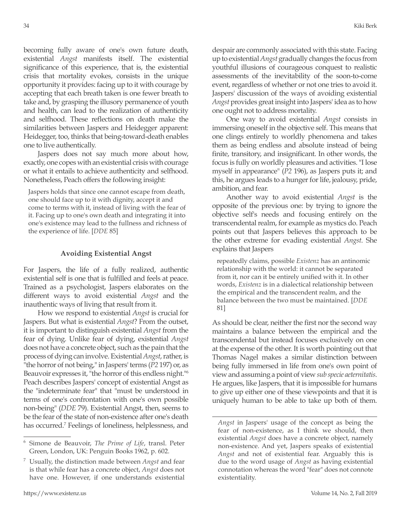becoming fully aware of one's own future death, existential *Angst* manifests itself. The existential significance of this experience, that is, the existential crisis that mortality evokes, consists in the unique opportunity it provides: facing up to it with courage by accepting that each breath taken is one fewer breath to take and, by grasping the illusory permanence of youth and health, can lead to the realization of authenticity and selfhood. These reflections on death make the similarities between Jaspers and Heidegger apparent: Heidegger, too, thinks that being-toward-death enables one to live authentically.

Jaspers does not say much more about how, exactly, one copes with an existential crisis with courage or what it entails to achieve authenticity and selfhood. Nonetheless, Peach offers the following insight:

Jaspers holds that since one cannot escape from death, one should face up to it with dignity, accept it and come to terms with it, instead of living with the fear of it. Facing up to one's own death and integrating it into one's existence may lead to the fullness and richness of the experience of life. [*DDE* 85]

#### **Avoiding Existential Angst**

For Jaspers, the life of a fully realized, authentic existential self is one that is fulfilled and feels at peace. Trained as a psychologist, Jaspers elaborates on the different ways to avoid existential *Angst* and the inauthentic ways of living that result from it.

How we respond to existential *Angst* is crucial for Jaspers. But what is existential *Angst*? From the outset, it is important to distinguish existential *Angst* from the fear of dying. Unlike fear of dying, existential *Angst*  does not have a concrete object, such as the pain that the process of dying can involve. Existential *Angst*, rather, is "the horror of not being," in Jaspers' terms (*P2* 197) or, as Beauvoir expresses it, "the horror of this endless night."6 Peach describes Jaspers' concept of existential Angst as the "indeterminate fear" that "must be understood in terms of one's confrontation with one's own possible non-being" (*DDE* 79). Existential Angst, then, seems to be the fear of the state of non-existence after one's death has occurred.<sup>7</sup> Feelings of loneliness, helplessness, and despair are commonly associated with this state. Facing up to existential *Angst* gradually changes the focus from youthful illusions of courageous conquest to realistic assessments of the inevitability of the soon-to-come event, regardless of whether or not one tries to avoid it. Jaspers' discussion of the ways of avoiding existential *Angst* provides great insight into Jaspers' idea as to how one ought not to address mortality.

One way to avoid existential *Angst* consists in immersing oneself in the objective self. This means that one clings entirely to worldly phenomena and takes them as being endless and absolute instead of being finite, transitory, and insignificant. In other words, the focus is fully on worldly pleasures and activities. "I lose myself in appearance" (*P2* 196), as Jaspers puts it; and this, he argues leads to a hunger for life, jealousy, pride, ambition, and fear.

Another way to avoid existential *Angst* is the opposite of the previous one: by trying to ignore the objective self's needs and focusing entirely on the transcendental realm, for example as mystics do. Peach points out that Jaspers believes this approach to be the other extreme for evading existential *Angst*. She explains that Jaspers

repeatedly claims, possible *Existenz* has an antinomic relationship with the world: it cannot be separated from it, nor can it be entirely unified with it. In other words, *Existenz* is in a dialectical relationship between the empirical and the transcendent realm, and the balance between the two must be maintained. [*DDE* 81]

As should be clear, neither the first nor the second way maintains a balance between the empirical and the transcendental but instead focuses exclusively on one at the expense of the other. It is worth pointing out that Thomas Nagel makes a similar distinction between being fully immersed in life from one's own point of view and assuming a point of view *sub specie aeternitatis*. He argues, like Jaspers, that it is impossible for humans to give up either one of these viewpoints and that it is uniquely human to be able to take up both of them.

<sup>6</sup> Simone de Beauvoir, *The Prime of Life*, transl. Peter Green, London, UK: Penguin Books 1962, p. 602.

<sup>7</sup> Usually, the distinction made between *Angst* and fear is that while fear has a concrete object, *Angst* does not have one. However, if one understands existential

*Angst* in Jaspers' usage of the concept as being the fear of non-existence, as I think we should, then existential *Angst* does have a concrete object, namely non-existence. And yet, Jaspers speaks of existential *Angst* and not of existential fear. Arguably this is due to the word usage of *Angst* as having existential connotation whereas the word "fear" does not connote existentiality.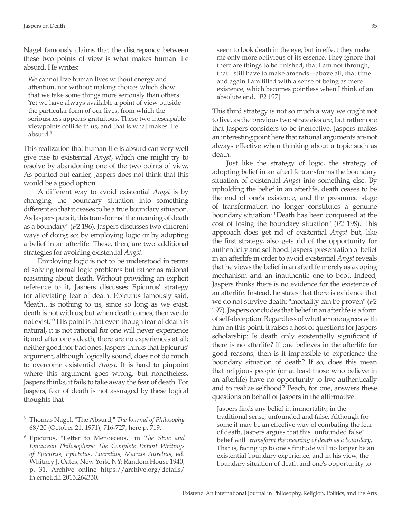Nagel famously claims that the discrepancy between these two points of view is what makes human life absurd. He writes:

We cannot live human lives without energy and attention, nor without making choices which show that we take some things more seriously than others. Yet we have always available a point of view outside the particular form of our lives, from which the seriousness appears gratuitous. These two inescapable viewpoints collide in us, and that is what makes life absurd.<sup>8</sup>

This realization that human life is absurd can very well give rise to existential *Angst*, which one might try to resolve by abandoning one of the two points of view. As pointed out earlier, Jaspers does not think that this would be a good option.

A different way to avoid existential *Angst* is by changing the boundary situation into something different so that it ceases to be a true boundary situation. As Jaspers puts it, this transforms "the meaning of death as a boundary" (*P2* 196). Jaspers discusses two different ways of doing so: by employing logic or by adopting a belief in an afterlife. These, then, are two additional strategies for avoiding existential *Angst*.

Employing logic is not to be understood in terms of solving formal logic problems but rather as rational reasoning about death. Without providing an explicit reference to it, Jaspers discusses Epicurus' strategy for alleviating fear of death. Epicurus famously said, "death…is nothing to us, since so long as we exist, death is not with us; but when death comes, then we do not exist."<sup>9</sup> His point is that even though fear of death is natural, it is not rational for one will never experience it; and after one's death, there are no experiences at all: neither good nor bad ones. Jaspers thinks that Epicurus' argument, although logically sound, does not do much to overcome existential *Angst*. It is hard to pinpoint where this argument goes wrong, but nonetheless, Jaspers thinks, it fails to take away the fear of death. For Jaspers, fear of death is not assuaged by these logical thoughts that

seem to look death in the eye, but in effect they make me only more oblivious of its essence. They ignore that there are things to be finished, that I am not through, that I still have to make amends—above all, that time and again I am filled with a sense of being as mere existence, which becomes pointless when I think of an absolute end. [*P2* 197]

This third strategy is not so much a way we ought not to live, as the previous two strategies are, but rather one that Jaspers considers to be ineffective. Jaspers makes an interesting point here that rational arguments are not always effective when thinking about a topic such as death.

Just like the strategy of logic, the strategy of adopting belief in an afterlife transforms the boundary situation of existential *Angst* into something else. By upholding the belief in an afterlife, death ceases to be the end of one's existence, and the presumed stage of transformation no longer constitutes a genuine boundary situation: "Death has been conquered at the cost of losing the boundary situation" (*P2* 198). This approach does get rid of existential *Angst* but, like the first strategy, also gets rid of the opportunity for authenticity and selfhood. Jaspers' presentation of belief in an afterlife in order to avoid existential *Angst* reveals that he views the belief in an afterlife merely as a coping mechanism and an inauthentic one to boot. Indeed, Jaspers thinks there is no evidence for the existence of an afterlife. Instead, he states that there is evidence that we do not survive death: "mortality can be proven" (*P2* 197). Jaspers concludes that belief in an afterlife is a form of self-deception. Regardless of whether one agrees with him on this point, it raises a host of questions for Jaspers scholarship: Is death only existentially significant if there is no afterlife? If one believes in the afterlife for good reasons, then is it impossible to experience the boundary situation of death? If so, does this mean that religious people (or at least those who believe in an afterlife) have no opportunity to live authentically and to realize selfhood? Peach, for one, answers these questions on behalf of Jaspers in the affirmative:

Jaspers finds any belief in immortality, in the traditional sense, unfounded and false. Although for some it may be an effective way of combating the fear of death, Jaspers argues that this "unfounded false" belief will "*transform the meaning of death as a boundary*." That is, facing up to one's finitude will no longer be an existential boundary experience, and in his view, the boundary situation of death and one's opportunity to

<sup>8</sup> Thomas Nagel, "The Absurd," *The Journal of Philosophy* 68/20 (October 21, 1971), 716-727, here p. 719.

<sup>9</sup> Epicurus, "Letter to Menoeceus," in *The Stoic and Epicurean Philosophers: The Complete Extant Writings of Epicurus, Epictetus, Lucretius, Marcus Aurelius*, ed. Whitney J. Oates, New York, NY: Random House 1940, p. 31. Archive online https://archive.org/details/ in.ernet.dli.2015.264330.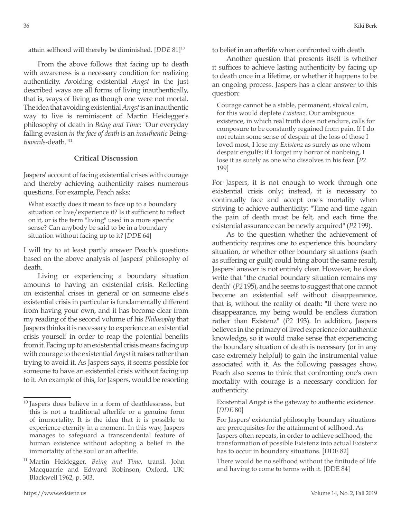attain selfhood will thereby be diminished. [*DDE* 81]<sup>10</sup>

From the above follows that facing up to death with awareness is a necessary condition for realizing authenticity. Avoiding existential *Angst* in the just described ways are all forms of living inauthentically, that is, ways of living as though one were not mortal. The idea that avoiding existential *Angst* is an inauthentic way to live is reminiscent of Martin Heidegger's philosophy of death in *Being and Time*: "Our everyday falling evasion *in the face of death* is an *inauthentic* Being*towards*-death."11

### **Critical Discussion**

Jaspers' account of facing existential crises with courage and thereby achieving authenticity raises numerous questions. For example, Peach asks:

What exactly does it mean to face up to a boundary situation or live/experience it? Is it sufficient to reflect on it, or is the term "living" used in a more specific sense? Can anybody be said to be in a boundary situation without facing up to it? [*DDE* 64]

I will try to at least partly answer Peach's questions based on the above analysis of Jaspers' philosophy of death.

Living or experiencing a boundary situation amounts to having an existential crisis. Reflecting on existential crises in general or on someone else's existential crisis in particular is fundamentally different from having your own, and it has become clear from my reading of the second volume of his *Philosophy* that Jaspers thinks it is necessary to experience an existential crisis yourself in order to reap the potential benefits from it. Facing up to an existential crisis means facing up with courage to the existential *Angst* it raises rather than trying to avoid it. As Jaspers says, it seems possible for someone to have an existential crisis without facing up to it. An example of this, for Jaspers, would be resorting to belief in an afterlife when confronted with death.

Another question that presents itself is whether it suffices to achieve lasting authenticity by facing up to death once in a lifetime, or whether it happens to be an ongoing process. Jaspers has a clear answer to this question:

Courage cannot be a stable, permanent, stoical calm, for this would deplete *Existenz*. Our ambiguous existence, in which real truth does not endure, calls for composure to be constantly regained from pain. If I do not retain some sense of despair at the loss of those I loved most, I lose my *Existenz* as surely as one whom despair engulfs; if I forget my horror of nonbeing, I lose it as surely as one who dissolves in his fear. [*P2* 199]

For Jaspers, it is not enough to work through one existential crisis only; instead, it is necessary to continually face and accept one's mortality when striving to achieve authenticity: "Time and time again the pain of death must be felt, and each time the existential assurance can be newly acquired" (*P2* 199).

As to the question whether the achievement of authenticity requires one to experience this boundary situation, or whether other boundary situations (such as suffering or guilt) could bring about the same result, Jaspers' answer is not entirely clear. However, he does write that "the crucial boundary situation remains my death" (*P2* 195), and he seems to suggest that one cannot become an existential self without disappearance, that is, without the reality of death: "If there were no disappearance, my being would be endless duration rather than Existenz" (*P2* 193). In addition, Jaspers believes in the primacy of lived experience for authentic knowledge, so it would make sense that experiencing the boundary situation of death is necessary (or in any case extremely helpful) to gain the instrumental value associated with it. As the following passages show, Peach also seems to think that confronting one's own mortality with courage is a necessary condition for authenticity.

Existential Angst is the gateway to authentic existence. [*DDE* 80]

 $10$  Jaspers does believe in a form of deathlessness, but this is not a traditional afterlife or a genuine form of immortality. It is the idea that it is possible to experience eternity in a moment. In this way, Jaspers manages to safeguard a transcendental feature of human existence without adopting a belief in the immortality of the soul or an afterlife.

<sup>11</sup> Martin Heidegger, *Being and Time*, transl. John Macquarrie and Edward Robinson, Oxford, UK: Blackwell 1962, p. 303.

For Jaspers' existential philosophy boundary situations are prerequisites for the attainment of selfhood. As Jaspers often repeats, in order to achieve selfhood, the transformation of possible Existenz into actual Existenz has to occur in boundary situations. [DDE 82]

There would be no selfhood without the finitude of life and having to come to terms with it. [DDE 84]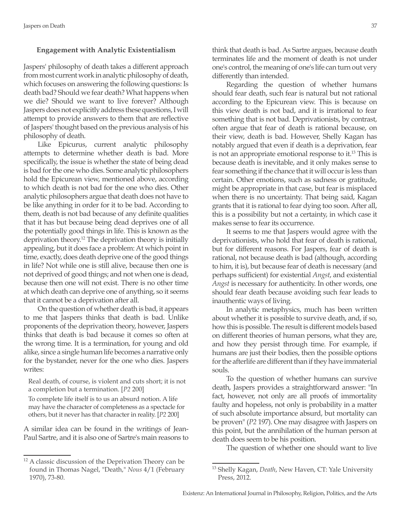### **Engagement with Analytic Existentialism**

Jaspers' philosophy of death takes a different approach from most current work in analytic philosophy of death, which focuses on answering the following questions: Is death bad? Should we fear death? What happens when we die? Should we want to live forever? Although Jaspers does not explicitly address these questions, I will attempt to provide answers to them that are reflective of Jaspers' thought based on the previous analysis of his philosophy of death.

Like Epicurus, current analytic philosophy attempts to determine whether death is bad. More specifically, the issue is whether the state of being dead is bad for the one who dies. Some analytic philosophers hold the Epicurean view, mentioned above, according to which death is not bad for the one who dies. Other analytic philosophers argue that death does not have to be like anything in order for it to be bad. According to them, death is not bad because of any definite qualities that it has but because being dead deprives one of all the potentially good things in life. This is known as the deprivation theory.<sup>12</sup> The deprivation theory is initially appealing, but it does face a problem: At which point in time, exactly, does death deprive one of the good things in life? Not while one is still alive, because then one is not deprived of good things; and not when one is dead, because then one will not exist. There is no other time at which death can deprive one of anything, so it seems that it cannot be a deprivation after all.

On the question of whether death is bad, it appears to me that Jaspers thinks that death is bad. Unlike proponents of the deprivation theory, however, Jaspers thinks that death is bad because it comes so often at the wrong time. It is a termination, for young and old alike, since a single human life becomes a narrative only for the bystander, never for the one who dies. Jaspers writes:

Real death, of course, is violent and cuts short; it is not a completion but a termination. [*P2* 200]

To complete life itself is to us an absurd notion. A life may have the character of completeness as a spectacle for others, but it never has that character in reality. [*P2* 200]

A similar idea can be found in the writings of Jean-Paul Sartre, and it is also one of Sartre's main reasons to think that death is bad. As Sartre argues, because death terminates life and the moment of death is not under one's control, the meaning of one's life can turn out very differently than intended.

Regarding the question of whether humans should fear death, such fear is natural but not rational according to the Epicurean view. This is because on this view death is not bad, and it is irrational to fear something that is not bad. Deprivationists, by contrast, often argue that fear of death is rational because, on their view, death is bad. However, Shelly Kagan has notably argued that even if death is a deprivation, fear is not an appropriate emotional response to it.<sup>13</sup> This is because death is inevitable, and it only makes sense to fear something if the chance that it will occur is less than certain. Other emotions, such as sadness or gratitude, might be appropriate in that case, but fear is misplaced when there is no uncertainty. That being said, Kagan grants that it is rational to fear dying too soon. After all, this is a possibility but not a certainty, in which case it makes sense to fear its occurrence.

It seems to me that Jaspers would agree with the deprivationists, who hold that fear of death is rational, but for different reasons. For Jaspers, fear of death is rational, not because death is bad (although, according to him, it is), but because fear of death is necessary (and perhaps sufficient) for existential *Angst*, and existential *Angst* is necessary for authenticity. In other words, one should fear death because avoiding such fear leads to inauthentic ways of living.

In analytic metaphysics, much has been written about whether it is possible to survive death, and, if so, how this is possible. The result is different models based on different theories of human persons, what they are, and how they persist through time. For example, if humans are just their bodies, then the possible options for the afterlife are different than if they have immaterial souls.

To the question of whether humans can survive death, Jaspers provides a straightforward answer: "In fact, however, not only are all proofs of immortality faulty and hopeless, not only is probability in a matter of such absolute importance absurd, but mortality can be proven" (*P2* 197). One may disagree with Jaspers on this point, but the annihilation of the human person at death does seem to be his position.

The question of whether one should want to live

<sup>&</sup>lt;sup>12</sup> A classic discussion of the Deprivation Theory can be found in Thomas Nagel, "Death," *Nous* 4/1 (February 1970), 73-80.

<sup>13</sup> Shelly Kagan, *Death*, New Haven, CT: Yale University Press, 2012.